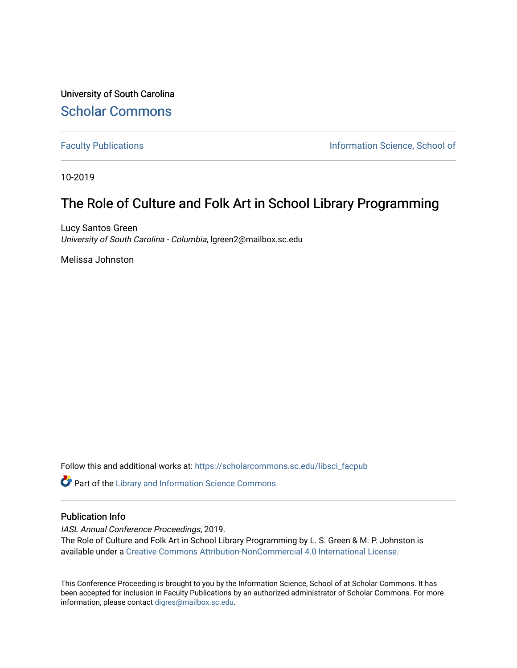University of South Carolina [Scholar Commons](https://scholarcommons.sc.edu/) 

[Faculty Publications](https://scholarcommons.sc.edu/libsci_facpub) **Information Science, School of Information Science**, School of

10-2019

## The Role of Culture and Folk Art in School Library Programming

Lucy Santos Green University of South Carolina - Columbia, lgreen2@mailbox.sc.edu

Melissa Johnston

Follow this and additional works at: [https://scholarcommons.sc.edu/libsci\\_facpub](https://scholarcommons.sc.edu/libsci_facpub?utm_source=scholarcommons.sc.edu%2Flibsci_facpub%2F485&utm_medium=PDF&utm_campaign=PDFCoverPages) 

**C** Part of the Library and Information Science Commons

#### Publication Info

IASL Annual Conference Proceedings, 2019. The Role of Culture and Folk Art in School Library Programming by L. S. Green & M. P. Johnston is available under a [Creative Commons Attribution-NonCommercial 4.0 International License](https://creativecommons.org/licenses/by-nc/4.0/).

This Conference Proceeding is brought to you by the Information Science, School of at Scholar Commons. It has been accepted for inclusion in Faculty Publications by an authorized administrator of Scholar Commons. For more information, please contact [digres@mailbox.sc.edu.](mailto:digres@mailbox.sc.edu)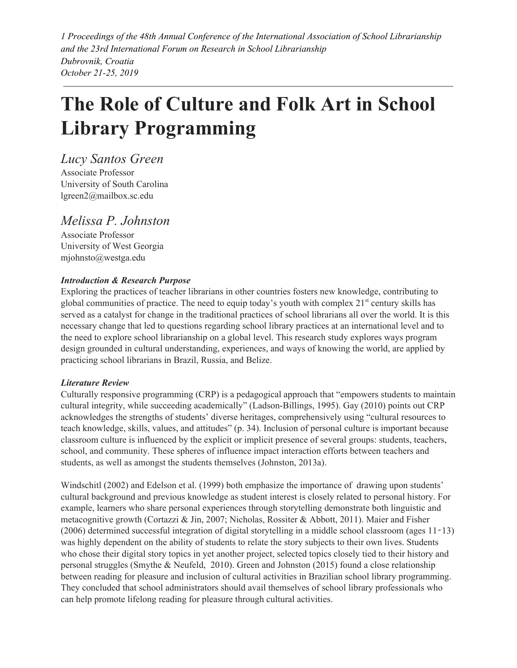*1 Proceedings of the 48th Annual Conference of the International Association of School Librarianship and the 23rd International Forum on Research in School Librarianship Dubrovnik, Croatia October 21-25, 2019*

# **The Role of Culture and Folk Art in School Library Programming**

*Lucy Santos Green* Associate Professor University of South Carolina lgreen2@mailbox.sc.edu

### *Melissa P. Johnston*

Associate Professor University of West Georgia mjohnsto@westga.edu

#### *Introduction & Research Purpose*

Exploring the practices of teacher librarians in other countries fosters new knowledge, contributing to global communities of practice. The need to equip today's youth with complex 21<sup>st</sup> century skills has served as a catalyst for change in the traditional practices of school librarians all over the world. It is this necessary change that led to questions regarding school library practices at an international level and to the need to explore school librarianship on a global level. This research study explores ways program design grounded in cultural understanding, experiences, and ways of knowing the world, are applied by practicing school librarians in Brazil, Russia, and Belize.

#### *Literature Review*

Culturally responsive programming (CRP) is a pedagogical approach that "empowers students to maintain cultural integrity, while succeeding academically" (Ladson-Billings, 1995). Gay (2010) points out CRP acknowledges the strengths of students' diverse heritages, comprehensively using "cultural resources to teach knowledge, skills, values, and attitudes" (p. 34). Inclusion of personal culture is important because classroom culture is influenced by the explicit or implicit presence of several groups: students, teachers, school, and community. These spheres of influence impact interaction efforts between teachers and students, as well as amongst the students themselves (Johnston, 2013a).

Windschitl (2002) and Edelson et al. (1999) both emphasize the importance of drawing upon students' cultural background and previous knowledge as student interest is closely related to personal history. For example, learners who share personal experiences through storytelling demonstrate both linguistic and metacognitive growth (Cortazzi & Jin, 2007; Nicholas, Rossiter & Abbott, 2011). Maier and Fisher (2006) determined successful integration of digital storytelling in a middle school classroom (ages 11‑13) was highly dependent on the ability of students to relate the story subjects to their own lives. Students who chose their digital story topics in yet another project, selected topics closely tied to their history and personal struggles (Smythe & Neufeld, 2010). Green and Johnston (2015) found a close relationship between reading for pleasure and inclusion of cultural activities in Brazilian school library programming. They concluded that school administrators should avail themselves of school library professionals who can help promote lifelong reading for pleasure through cultural activities.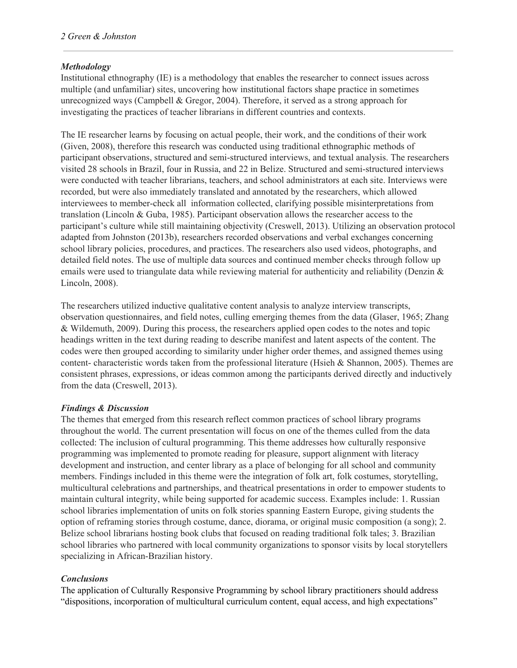#### *Methodology*

Institutional ethnography (IE) is a methodology that enables the researcher to connect issues across multiple (and unfamiliar) sites, uncovering how institutional factors shape practice in sometimes unrecognized ways (Campbell & Gregor, 2004). Therefore, it served as a strong approach for investigating the practices of teacher librarians in different countries and contexts.

The IE researcher learns by focusing on actual people, their work, and the conditions of their work (Given, 2008), therefore this research was conducted using traditional ethnographic methods of participant observations, structured and semi-structured interviews, and textual analysis. The researchers visited 28 schools in Brazil, four in Russia, and 22 in Belize. Structured and semi-structured interviews were conducted with teacher librarians, teachers, and school administrators at each site. Interviews were recorded, but were also immediately translated and annotated by the researchers, which allowed interviewees to member-check all information collected, clarifying possible misinterpretations from translation (Lincoln & Guba, 1985). Participant observation allows the researcher access to the participant's culture while still maintaining objectivity (Creswell, 2013). Utilizing an observation protocol adapted from Johnston (2013b), researchers recorded observations and verbal exchanges concerning school library policies, procedures, and practices. The researchers also used videos, photographs, and detailed field notes. The use of multiple data sources and continued member checks through follow up emails were used to triangulate data while reviewing material for authenticity and reliability (Denzin & Lincoln, 2008).

The researchers utilized inductive qualitative content analysis to analyze interview transcripts, observation questionnaires, and field notes, culling emerging themes from the data (Glaser, 1965; Zhang & Wildemuth, 2009). During this process, the researchers applied open codes to the notes and topic headings written in the text during reading to describe manifest and latent aspects of the content. The codes were then grouped according to similarity under higher order themes, and assigned themes using content- characteristic words taken from the professional literature (Hsieh & Shannon, 2005). Themes are consistent phrases, expressions, or ideas common among the participants derived directly and inductively from the data (Creswell, 2013).

#### *Findings & Discussion*

The themes that emerged from this research reflect common practices of school library programs throughout the world. The current presentation will focus on one of the themes culled from the data collected: The inclusion of cultural programming. This theme addresses how culturally responsive programming was implemented to promote reading for pleasure, support alignment with literacy development and instruction, and center library as a place of belonging for all school and community members. Findings included in this theme were the integration of folk art, folk costumes, storytelling, multicultural celebrations and partnerships, and theatrical presentations in order to empower students to maintain cultural integrity, while being supported for academic success. Examples include: 1. Russian school libraries implementation of units on folk stories spanning Eastern Europe, giving students the option of reframing stories through costume, dance, diorama, or original music composition (a song); 2. Belize school librarians hosting book clubs that focused on reading traditional folk tales; 3. Brazilian school libraries who partnered with local community organizations to sponsor visits by local storytellers specializing in African-Brazilian history.

#### *Conclusions*

The application of Culturally Responsive Programming by school library practitioners should address "dispositions, incorporation of multicultural curriculum content, equal access, and high expectations"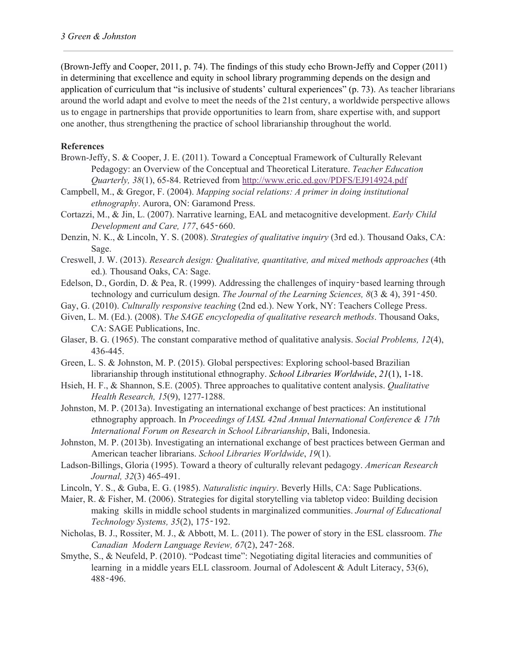(Brown-Jeffy and Cooper, 2011, p. 74). The findings of this study echo Brown-Jeffy and Copper (2011) in determining that excellence and equity in school library programming depends on the design and application of curriculum that "is inclusive of students' cultural experiences" (p. 73). As teacher librarians around the world adapt and evolve to meet the needs of the 21st century, a worldwide perspective allows us to engage in partnerships that provide opportunities to learn from, share expertise with, and support one another, thus strengthening the practice of school librarianship throughout the world.

#### **References**

- Brown-Jeffy, S. & Cooper, J. E. (2011). Toward a Conceptual Framework of Culturally Relevant Pedagogy: an Overview of the Conceptual and Theoretical Literature. *Teacher Education Quarterly, 38*(1), 65-84. Retrieved from <http://www.eric.ed.gov/PDFS/EJ914924.pdf>
- Campbell, M., & Gregor, F. (2004). *Mapping social relations: A primer in doing institutional ethnography*. Aurora, ON: Garamond Press.
- Cortazzi, M., & Jin, L. (2007). Narrative learning, EAL and metacognitive development. *Early Child Development and Care, 177*, 645‑660.
- Denzin, N. K., & Lincoln, Y. S. (2008). *Strategies of qualitative inquiry* (3rd ed.). Thousand Oaks, CA: Sage.
- Creswell, J. W. (2013). *Research design: Qualitative, quantitative, and mixed methods approaches* (4th ed.)*.* Thousand Oaks, CA: Sage.
- Edelson, D., Gordin, D. & Pea, R. (1999). Addressing the challenges of inquiry-based learning through technology and curriculum design. *The Journal of the Learning Sciences, 8*(3 & 4), 391‑450.
- Gay, G. (2010). *Culturally responsive teaching* (2nd ed.). New York, NY: Teachers College Press.
- Given, L. M. (Ed.). (2008). T*he SAGE encyclopedia of qualitative research methods*. Thousand Oaks, CA: SAGE Publications, Inc.
- Glaser, B. G. (1965). The constant comparative method of qualitative analysis. *Social Problems, 12*(4), 436-445.
- Green, L. S. & Johnston, M. P. (2015). Global perspectives: Exploring school-based Brazilian librarianship through institutional ethnography. *School Libraries Worldwide*, *21*(1), 1-18.
- Hsieh, H. F., & Shannon, S.E. (2005). Three approaches to qualitative content analysis. *Qualitative Health Research, 15*(9), 1277-1288.
- Johnston, M. P. (2013a). Investigating an international exchange of best practices: An institutional ethnography approach. In *Proceedings of IASL 42nd Annual International Conference & 17th International Forum on Research in School Librarianship*, Bali, Indonesia.
- Johnston, M. P. (2013b). Investigating an international exchange of best practices between German and American teacher librarians. *School Libraries Worldwide*, *19*(1).
- Ladson-Billings, Gloria (1995). Toward a theory of culturally relevant pedagogy. *American Research Journal, 32*(3) 465-491.
- Lincoln, Y. S., & Guba, E. G. (1985). *Naturalistic inquiry*. Beverly Hills, CA: Sage Publications.
- Maier, R. & Fisher, M. (2006). Strategies for digital storytelling via tabletop video: Building decision making skills in middle school students in marginalized communities. *Journal of Educational Technology Systems, 35*(2), 175‑192.
- Nicholas, B. J., Rossiter, M. J., & Abbott, M. L. (2011). The power of story in the ESL classroom. *The Canadian Modern Language Review, 67*(2), 247‑268.
- Smythe, S., & Neufeld, P. (2010). "Podcast time": Negotiating digital literacies and communities of learning in a middle years ELL classroom. Journal of Adolescent  $\&$  Adult Literacy, 53(6), 488‑496.